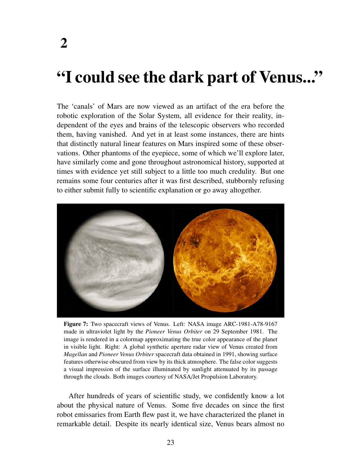## "I could see the dark part of Venus..."

The 'canals' of Mars are now viewed as an artifact of the era before the robotic exploration of the Solar System, all evidence for their reality, independent of the eyes and brains of the telescopic observers who recorded them, having vanished. And yet in at least some instances, there are hints that distinctly natural linear features on Mars inspired some of these observations. Other phantoms of the eyepiece, some of which we'll explore later, have similarly come and gone throughout astronomical history, supported at times with evidence yet still subject to a little too much credulity. But one remains some four centuries after it was first described, stubbornly refusing to either submit fully to scientific explanation or go away altogether.



Figure 7: Two spacecraft views of Venus. Left: NASA image ARC-1981-A78-9167 made in ultraviolet light by the *Pioneer Venus Orbiter* on 29 September 1981. The image is rendered in a colormap approximating the true color appearance of the planet in visible light. Right: A global synthetic aperture radar view of Venus created from *Magellan* and *Pioneer Venus Orbiter* spacecraft data obtained in 1991, showing surface features otherwise obscured from view by its thick atmosphere. The false color suggests a visual impression of the surface illuminated by sunlight attenuated by its passage through the clouds. Both images courtesy of NASA/Jet Propulsion Laboratory.

After hundreds of years of scientific study, we confidently know a lot about the physical nature of Venus. Some five decades on since the first robot emissaries from Earth flew past it, we have characterized the planet in remarkable detail. Despite its nearly identical size, Venus bears almost no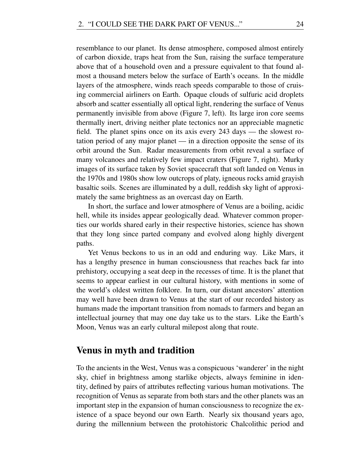resemblance to our planet. Its dense atmosphere, composed almost entirely of carbon dioxide, traps heat from the Sun, raising the surface temperature above that of a household oven and a pressure equivalent to that found almost a thousand meters below the surface of Earth's oceans. In the middle layers of the atmosphere, winds reach speeds comparable to those of cruising commercial airliners on Earth. Opaque clouds of sulfuric acid droplets absorb and scatter essentially all optical light, rendering the surface of Venus permanently invisible from above (Figure 7, left). Its large iron core seems thermally inert, driving neither plate tectonics nor an appreciable magnetic field. The planet spins once on its axis every 243 days — the slowest rotation period of any major planet — in a direction opposite the sense of its orbit around the Sun. Radar measurements from orbit reveal a surface of many volcanoes and relatively few impact craters (Figure 7, right). Murky images of its surface taken by Soviet spacecraft that soft landed on Venus in the 1970s and 1980s show low outcrops of platy, igneous rocks amid grayish basaltic soils. Scenes are illuminated by a dull, reddish sky light of approximately the same brightness as an overcast day on Earth.

In short, the surface and lower atmosphere of Venus are a boiling, acidic hell, while its insides appear geologically dead. Whatever common properties our worlds shared early in their respective histories, science has shown that they long since parted company and evolved along highly divergent paths.

Yet Venus beckons to us in an odd and enduring way. Like Mars, it has a lengthy presence in human consciousness that reaches back far into prehistory, occupying a seat deep in the recesses of time. It is the planet that seems to appear earliest in our cultural history, with mentions in some of the world's oldest written folklore. In turn, our distant ancestors' attention may well have been drawn to Venus at the start of our recorded history as humans made the important transition from nomads to farmers and began an intellectual journey that may one day take us to the stars. Like the Earth's Moon, Venus was an early cultural milepost along that route.

## Venus in myth and tradition

To the ancients in the West, Venus was a conspicuous 'wanderer' in the night sky, chief in brightness among starlike objects, always feminine in identity, defined by pairs of attributes reflecting various human motivations. The recognition of Venus as separate from both stars and the other planets was an important step in the expansion of human consciousness to recognize the existence of a space beyond our own Earth. Nearly six thousand years ago, during the millennium between the protohistoric Chalcolithic period and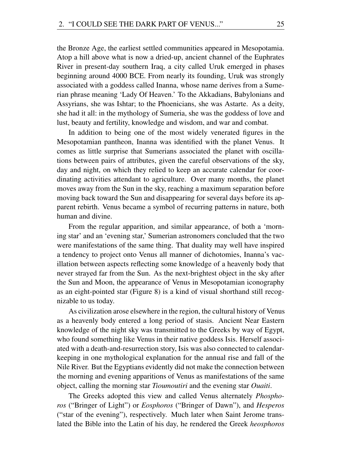the Bronze Age, the earliest settled communities appeared in Mesopotamia. Atop a hill above what is now a dried-up, ancient channel of the Euphrates River in present-day southern Iraq, a city called Uruk emerged in phases beginning around 4000 BCE. From nearly its founding, Uruk was strongly associated with a goddess called Inanna, whose name derives from a Sumerian phrase meaning 'Lady Of Heaven.' To the Akkadians, Babylonians and Assyrians, she was Ishtar; to the Phoenicians, she was Astarte. As a deity, she had it all: in the mythology of Sumeria, she was the goddess of love and lust, beauty and fertility, knowledge and wisdom, and war and combat.

In addition to being one of the most widely venerated figures in the Mesopotamian pantheon, Inanna was identified with the planet Venus. It comes as little surprise that Sumerians associated the planet with oscillations between pairs of attributes, given the careful observations of the sky, day and night, on which they relied to keep an accurate calendar for coordinating activities attendant to agriculture. Over many months, the planet moves away from the Sun in the sky, reaching a maximum separation before moving back toward the Sun and disappearing for several days before its apparent rebirth. Venus became a symbol of recurring patterns in nature, both human and divine.

From the regular apparition, and similar appearance, of both a 'morning star' and an 'evening star,' Sumerian astronomers concluded that the two were manifestations of the same thing. That duality may well have inspired a tendency to project onto Venus all manner of dichotomies, Inanna's vacillation between aspects reflecting some knowledge of a heavenly body that never strayed far from the Sun. As the next-brightest object in the sky after the Sun and Moon, the appearance of Venus in Mesopotamian iconography as an eight-pointed star (Figure 8) is a kind of visual shorthand still recognizable to us today.

As civilization arose elsewhere in the region, the cultural history of Venus as a heavenly body entered a long period of stasis. Ancient Near Eastern knowledge of the night sky was transmitted to the Greeks by way of Egypt, who found something like Venus in their native goddess Isis. Herself associated with a death-and-resurrection story, Isis was also connected to calendarkeeping in one mythological explanation for the annual rise and fall of the Nile River. But the Egyptians evidently did not make the connection between the morning and evening apparitions of Venus as manifestations of the same object, calling the morning star *Tioumoutiri* and the evening star *Ouaiti*.

The Greeks adopted this view and called Venus alternately *Phosphoros* ("Bringer of Light") or *Eosphoros* ("Bringer of Dawn"), and *Hesperos* ("star of the evening"), respectively. Much later when Saint Jerome translated the Bible into the Latin of his day, he rendered the Greek *heosphoros*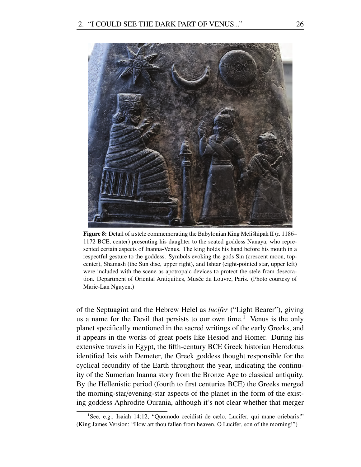

**Figure 8:** Detail of a stele commemorating the Babylonian King Melišhipak II (r. 1186– 1172 BCE, center) presenting his daughter to the seated goddess Nanaya, who represented certain aspects of Inanna-Venus. The king holds his hand before his mouth in a respectful gesture to the goddess. Symbols evoking the gods Sin (crescent moon, topcenter), Shamash (the Sun disc, upper right), and Ishtar (eight-pointed star, upper left) were included with the scene as apotropaic devices to protect the stele from desecration. Department of Oriental Antiquities, Musée du Louvre, Paris. (Photo courtesy of Marie-Lan Nguyen.)

of the Septuagint and the Hebrew Helel as *lucifer* ("Light Bearer"), giving us a name for the Devil that persists to our own time.<sup>1</sup> Venus is the only planet specifically mentioned in the sacred writings of the early Greeks, and it appears in the works of great poets like Hesiod and Homer. During his extensive travels in Egypt, the fifth-century BCE Greek historian Herodotus identified Isis with Demeter, the Greek goddess thought responsible for the cyclical fecundity of the Earth throughout the year, indicating the continuity of the Sumerian Inanna story from the Bronze Age to classical antiquity. By the Hellenistic period (fourth to first centuries BCE) the Greeks merged the morning-star/evening-star aspects of the planet in the form of the existing goddess Aphrodite Ourania, although it's not clear whether that merger

<sup>1</sup>See, e.g., Isaiah 14:12, "Quomodo cecidisti de cælo, Lucifer, qui mane oriebaris!" (King James Version: "How art thou fallen from heaven, O Lucifer, son of the morning!")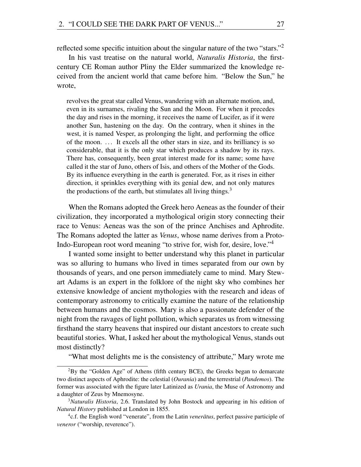reflected some specific intuition about the singular nature of the two "stars."<sup>2</sup>

In his vast treatise on the natural world, *Naturalis Historia*, the firstcentury CE Roman author Pliny the Elder summarized the knowledge received from the ancient world that came before him. "Below the Sun," he wrote,

revolves the great star called Venus, wandering with an alternate motion, and, even in its surnames, rivaling the Sun and the Moon. For when it precedes the day and rises in the morning, it receives the name of Lucifer, as if it were another Sun, hastening on the day. On the contrary, when it shines in the west, it is named Vesper, as prolonging the light, and performing the office of the moon. . . . It excels all the other stars in size, and its brilliancy is so considerable, that it is the only star which produces a shadow by its rays. There has, consequently, been great interest made for its name; some have called it the star of Juno, others of Isis, and others of the Mother of the Gods. By its influence everything in the earth is generated. For, as it rises in either direction, it sprinkles everything with its genial dew, and not only matures the productions of the earth, but stimulates all living things. $3$ 

When the Romans adopted the Greek hero Aeneas as the founder of their civilization, they incorporated a mythological origin story connecting their race to Venus: Aeneas was the son of the prince Anchises and Aphrodite. The Romans adopted the latter as *Venus*, whose name derives from a Proto-Indo-European root word meaning "to strive for, wish for, desire, love."4

I wanted some insight to better understand why this planet in particular was so alluring to humans who lived in times separated from our own by thousands of years, and one person immediately came to mind. Mary Stewart Adams is an expert in the folklore of the night sky who combines her extensive knowledge of ancient mythologies with the research and ideas of contemporary astronomy to critically examine the nature of the relationship between humans and the cosmos. Mary is also a passionate defender of the night from the ravages of light pollution, which separates us from witnessing firsthand the starry heavens that inspired our distant ancestors to create such beautiful stories. What, I asked her about the mythological Venus, stands out most distinctly?

"What most delights me is the consistency of attribute," Mary wrote me

<sup>&</sup>lt;sup>2</sup>By the "Golden Age" of Athens (fifth century BCE), the Greeks began to demarcate two distinct aspects of Aphrodite: the celestial (*Ourania*) and the terrestrial (*Pandemos*). The former was associated with the figure later Latinized as *Urania*, the Muse of Astronomy and a daughter of Zeus by Mnemosyne.

<sup>3</sup>*Naturalis Historia*, 2.6. Translated by John Bostock and appearing in his edition of *Natural History* published at London in 1855.

<sup>&</sup>lt;sup>4</sup>c.f. the English word "venerate", from the Latin *venerātus*, perfect passive participle of *veneror* ("worship, reverence").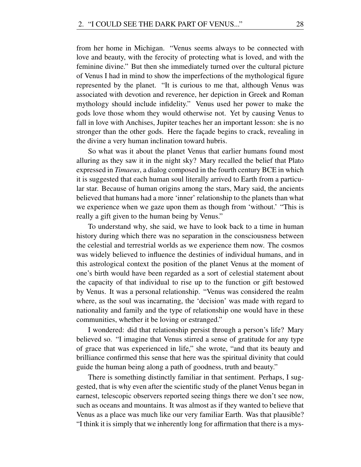from her home in Michigan. "Venus seems always to be connected with love and beauty, with the ferocity of protecting what is loved, and with the feminine divine." But then she immediately turned over the cultural picture of Venus I had in mind to show the imperfections of the mythological figure represented by the planet. "It is curious to me that, although Venus was associated with devotion and reverence, her depiction in Greek and Roman mythology should include infidelity." Venus used her power to make the gods love those whom they would otherwise not. Yet by causing Venus to fall in love with Anchises, Jupiter teaches her an important lesson: she is no stronger than the other gods. Here the facade begins to crack, revealing in the divine a very human inclination toward hubris.

So what was it about the planet Venus that earlier humans found most alluring as they saw it in the night sky? Mary recalled the belief that Plato expressed in *Timaeus*, a dialog composed in the fourth century BCE in which it is suggested that each human soul literally arrived to Earth from a particular star. Because of human origins among the stars, Mary said, the ancients believed that humans had a more 'inner' relationship to the planets than what we experience when we gaze upon them as though from 'without.' "This is really a gift given to the human being by Venus."

To understand why, she said, we have to look back to a time in human history during which there was no separation in the consciousness between the celestial and terrestrial worlds as we experience them now. The cosmos was widely believed to influence the destinies of individual humans, and in this astrological context the position of the planet Venus at the moment of one's birth would have been regarded as a sort of celestial statement about the capacity of that individual to rise up to the function or gift bestowed by Venus. It was a personal relationship. "Venus was considered the realm where, as the soul was incarnating, the 'decision' was made with regard to nationality and family and the type of relationship one would have in these communities, whether it be loving or estranged."

I wondered: did that relationship persist through a person's life? Mary believed so. "I imagine that Venus stirred a sense of gratitude for any type of grace that was experienced in life," she wrote, "and that its beauty and brilliance confirmed this sense that here was the spiritual divinity that could guide the human being along a path of goodness, truth and beauty."

There is something distinctly familiar in that sentiment. Perhaps, I suggested, that is why even after the scientific study of the planet Venus began in earnest, telescopic observers reported seeing things there we don't see now, such as oceans and mountains. It was almost as if they wanted to believe that Venus as a place was much like our very familiar Earth. Was that plausible? "I think it is simply that we inherently long for affirmation that there is a mys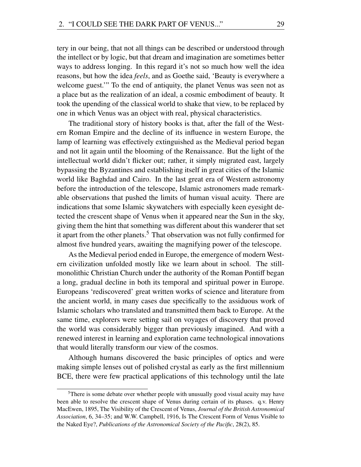tery in our being, that not all things can be described or understood through the intellect or by logic, but that dream and imagination are sometimes better ways to address longing. In this regard it's not so much how well the idea reasons, but how the idea *feels*, and as Goethe said, 'Beauty is everywhere a welcome guest.'" To the end of antiquity, the planet Venus was seen not as a place but as the realization of an ideal, a cosmic embodiment of beauty. It took the upending of the classical world to shake that view, to be replaced by one in which Venus was an object with real, physical characteristics.

The traditional story of history books is that, after the fall of the Western Roman Empire and the decline of its influence in western Europe, the lamp of learning was effectively extinguished as the Medieval period began and not lit again until the blooming of the Renaissance. But the light of the intellectual world didn't flicker out; rather, it simply migrated east, largely bypassing the Byzantines and establishing itself in great cities of the Islamic world like Baghdad and Cairo. In the last great era of Western astronomy before the introduction of the telescope, Islamic astronomers made remarkable observations that pushed the limits of human visual acuity. There are indications that some Islamic skywatchers with especially keen eyesight detected the crescent shape of Venus when it appeared near the Sun in the sky, giving them the hint that something was different about this wanderer that set it apart from the other planets.<sup>5</sup> That observation was not fully confirmed for almost five hundred years, awaiting the magnifying power of the telescope.

As the Medieval period ended in Europe, the emergence of modern Western civilization unfolded mostly like we learn about in school. The stillmonolithic Christian Church under the authority of the Roman Pontiff began a long, gradual decline in both its temporal and spiritual power in Europe. Europeans 'rediscovered' great written works of science and literature from the ancient world, in many cases due specifically to the assiduous work of Islamic scholars who translated and transmitted them back to Europe. At the same time, explorers were setting sail on voyages of discovery that proved the world was considerably bigger than previously imagined. And with a renewed interest in learning and exploration came technological innovations that would literally transform our view of the cosmos.

Although humans discovered the basic principles of optics and were making simple lenses out of polished crystal as early as the first millennium BCE, there were few practical applications of this technology until the late

<sup>&</sup>lt;sup>5</sup>There is some debate over whether people with unusually good visual acuity may have been able to resolve the crescent shape of Venus during certain of its phases. q.v. Henry MacEwen, 1895, The Visibility of the Crescent of Venus, *Journal of the British Astronomical Association*, 6, 34–35; and W.W. Campbell, 1916, Is The Crescent Form of Venus Visible to the Naked Eye?, *Publications of the Astronomical Society of the Pacific*, 28(2), 85.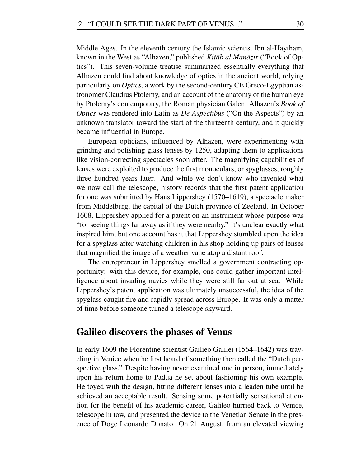Middle Ages. In the eleventh century the Islamic scientist Ibn al-Haytham, known in the West as "Alhazen," published *Kitāb al Manāzir* ("Book of Optics"). This seven-volume treatise summarized essentially everything that Alhazen could find about knowledge of optics in the ancient world, relying particularly on *Optics*, a work by the second-century CE Greco-Egyptian astronomer Claudius Ptolemy, and an account of the anatomy of the human eye by Ptolemy's contemporary, the Roman physician Galen. Alhazen's *Book of Optics* was rendered into Latin as *De Aspectibus* ("On the Aspects") by an unknown translator toward the start of the thirteenth century, and it quickly became influential in Europe.

European opticians, influenced by Alhazen, were experimenting with grinding and polishing glass lenses by 1250, adapting them to applications like vision-correcting spectacles soon after. The magnifying capabilities of lenses were exploited to produce the first monoculars, or spyglasses, roughly three hundred years later. And while we don't know who invented what we now call the telescope, history records that the first patent application for one was submitted by Hans Lippershey (1570–1619), a spectacle maker from Middelburg, the capital of the Dutch province of Zeeland. In October 1608, Lippershey applied for a patent on an instrument whose purpose was "for seeing things far away as if they were nearby." It's unclear exactly what inspired him, but one account has it that Lippershey stumbled upon the idea for a spyglass after watching children in his shop holding up pairs of lenses that magnified the image of a weather vane atop a distant roof.

The entrepreneur in Lippershey smelled a government contracting opportunity: with this device, for example, one could gather important intelligence about invading navies while they were still far out at sea. While Lippershey's patent application was ultimately unsuccessful, the idea of the spyglass caught fire and rapidly spread across Europe. It was only a matter of time before someone turned a telescope skyward.

## Galileo discovers the phases of Venus

In early 1609 the Florentine scientist Gailieo Galilei (1564–1642) was traveling in Venice when he first heard of something then called the "Dutch perspective glass." Despite having never examined one in person, immediately upon his return home to Padua he set about fashioning his own example. He toyed with the design, fitting different lenses into a leaden tube until he achieved an acceptable result. Sensing some potentially sensational attention for the benefit of his academic career, Galileo hurried back to Venice, telescope in tow, and presented the device to the Venetian Senate in the presence of Doge Leonardo Donato. On 21 August, from an elevated viewing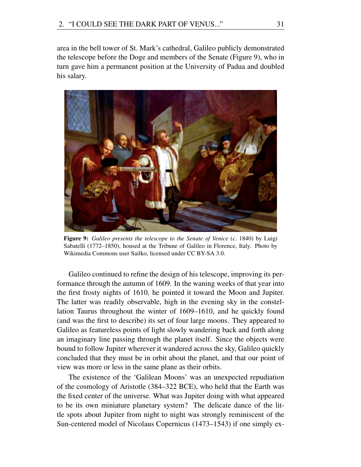area in the bell tower of St. Mark's cathedral, Galileo publicly demonstrated the telescope before the Doge and members of the Senate (Figure 9), who in turn gave him a permanent position at the University of Padua and doubled his salary.



Figure 9: *Galileo presents the telescope to the Senate of Venice* (*c*. 1840) by Luigi Sabatelli (1772–1850), housed at the Tribune of Galileo in Florence, Italy. Photo by Wikimedia Commons user Sailko, licensed under CC BY-SA 3.0.

Galileo continued to refine the design of his telescope, improving its performance through the autumn of 1609. In the waning weeks of that year into the first frosty nights of 1610, he pointed it toward the Moon and Jupiter. The latter was readily observable, high in the evening sky in the constellation Taurus throughout the winter of 1609–1610, and he quickly found (and was the first to describe) its set of four large moons. They appeared to Galileo as featureless points of light slowly wandering back and forth along an imaginary line passing through the planet itself. Since the objects were bound to follow Jupiter wherever it wandered across the sky, Galileo quickly concluded that they must be in orbit about the planet, and that our point of view was more or less in the same plane as their orbits.

The existence of the 'Galilean Moons' was an unexpected repudiation of the cosmology of Aristotle (384–322 BCE), who held that the Earth was the fixed center of the universe. What was Jupiter doing with what appeared to be its own miniature planetary system? The delicate dance of the little spots about Jupiter from night to night was strongly reminiscent of the Sun-centered model of Nicolaus Copernicus (1473–1543) if one simply ex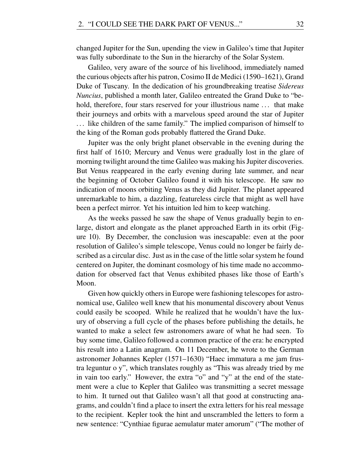changed Jupiter for the Sun, upending the view in Galileo's time that Jupiter was fully subordinate to the Sun in the hierarchy of the Solar System.

Galileo, very aware of the source of his livelihood, immediately named the curious objects after his patron, Cosimo II de Medici (1590–1621), Grand Duke of Tuscany. In the dedication of his groundbreaking treatise *Sidereus Nuncius*, published a month later, Galileo entreated the Grand Duke to "behold, therefore, four stars reserved for your illustrious name ... that make their journeys and orbits with a marvelous speed around the star of Jupiter ... like children of the same family." The implied comparison of himself to the king of the Roman gods probably flattered the Grand Duke.

Jupiter was the only bright planet observable in the evening during the first half of 1610; Mercury and Venus were gradually lost in the glare of morning twilight around the time Galileo was making his Jupiter discoveries. But Venus reappeared in the early evening during late summer, and near the beginning of October Galileo found it with his telescope. He saw no indication of moons orbiting Venus as they did Jupiter. The planet appeared unremarkable to him, a dazzling, featureless circle that might as well have been a perfect mirror. Yet his intuition led him to keep watching.

As the weeks passed he saw the shape of Venus gradually begin to enlarge, distort and elongate as the planet approached Earth in its orbit (Figure 10). By December, the conclusion was inescapable: even at the poor resolution of Galileo's simple telescope, Venus could no longer be fairly described as a circular disc. Just as in the case of the little solar system he found centered on Jupiter, the dominant cosmology of his time made no accommodation for observed fact that Venus exhibited phases like those of Earth's Moon.

Given how quickly others in Europe were fashioning telescopes for astronomical use, Galileo well knew that his monumental discovery about Venus could easily be scooped. While he realized that he wouldn't have the luxury of observing a full cycle of the phases before publishing the details, he wanted to make a select few astronomers aware of what he had seen. To buy some time, Galileo followed a common practice of the era: he encrypted his result into a Latin anagram. On 11 December, he wrote to the German astronomer Johannes Kepler (1571–1630) "Haec immatura a me jam frustra leguntur o y", which translates roughly as "This was already tried by me in vain too early." However, the extra "o" and "y" at the end of the statement were a clue to Kepler that Galileo was transmitting a secret message to him. It turned out that Galileo wasn't all that good at constructing anagrams, and couldn't find a place to insert the extra letters for his real message to the recipient. Kepler took the hint and unscrambled the letters to form a new sentence: "Cynthiae figurae aemulatur mater amorum" ("The mother of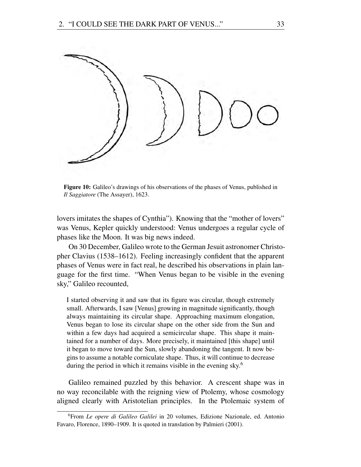

Figure 10: Galileo's drawings of his observations of the phases of Venus, published in *Il Saggiatore* (The Assayer), 1623.

lovers imitates the shapes of Cynthia"). Knowing that the "mother of lovers" was Venus, Kepler quickly understood: Venus undergoes a regular cycle of phases like the Moon. It was big news indeed.

On 30 December, Galileo wrote to the German Jesuit astronomer Christopher Clavius (1538–1612). Feeling increasingly confident that the apparent phases of Venus were in fact real, he described his observations in plain language for the first time. "When Venus began to be visible in the evening sky," Galileo recounted,

I started observing it and saw that its figure was circular, though extremely small. Afterwards, I saw [Venus] growing in magnitude significantly, though always maintaining its circular shape. Approaching maximum elongation, Venus began to lose its circular shape on the other side from the Sun and within a few days had acquired a semicircular shape. This shape it maintained for a number of days. More precisely, it maintained [this shape] until it began to move toward the Sun, slowly abandoning the tangent. It now begins to assume a notable corniculate shape. Thus, it will continue to decrease during the period in which it remains visible in the evening sky.<sup>6</sup>

Galileo remained puzzled by this behavior. A crescent shape was in no way reconcilable with the reigning view of Ptolemy, whose cosmology aligned clearly with Aristotelian principles. In the Ptolemaic system of

<sup>6</sup>From *Le opere di Galileo Galilei* in 20 volumes, Edizione Nazionale, ed. Antonio Favaro, Florence, 1890–1909. It is quoted in translation by Palmieri (2001).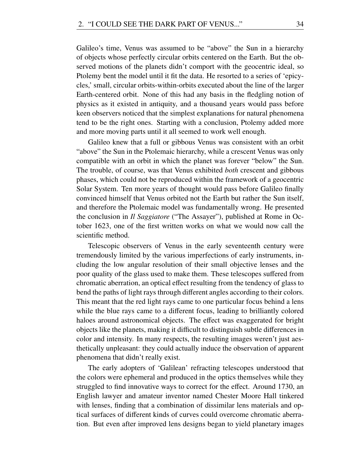Galileo's time, Venus was assumed to be "above" the Sun in a hierarchy of objects whose perfectly circular orbits centered on the Earth. But the observed motions of the planets didn't comport with the geocentric ideal, so Ptolemy bent the model until it fit the data. He resorted to a series of 'epicycles,' small, circular orbits-within-orbits executed about the line of the larger Earth-centered orbit. None of this had any basis in the fledgling notion of physics as it existed in antiquity, and a thousand years would pass before keen observers noticed that the simplest explanations for natural phenomena tend to be the right ones. Starting with a conclusion, Ptolemy added more and more moving parts until it all seemed to work well enough.

Galileo knew that a full or gibbous Venus was consistent with an orbit "above" the Sun in the Ptolemaic hierarchy, while a crescent Venus was only compatible with an orbit in which the planet was forever "below" the Sun. The trouble, of course, was that Venus exhibited *both* crescent and gibbous phases, which could not be reproduced within the framework of a geocentric Solar System. Ten more years of thought would pass before Galileo finally convinced himself that Venus orbited not the Earth but rather the Sun itself, and therefore the Ptolemaic model was fundamentally wrong. He presented the conclusion in *Il Saggiatore* ("The Assayer"), published at Rome in October 1623, one of the first written works on what we would now call the scientific method.

Telescopic observers of Venus in the early seventeenth century were tremendously limited by the various imperfections of early instruments, including the low angular resolution of their small objective lenses and the poor quality of the glass used to make them. These telescopes suffered from chromatic aberration, an optical effect resulting from the tendency of glass to bend the paths of light rays through different angles according to their colors. This meant that the red light rays came to one particular focus behind a lens while the blue rays came to a different focus, leading to brilliantly colored haloes around astronomical objects. The effect was exaggerated for bright objects like the planets, making it difficult to distinguish subtle differences in color and intensity. In many respects, the resulting images weren't just aesthetically unpleasant: they could actually induce the observation of apparent phenomena that didn't really exist.

The early adopters of 'Galilean' refracting telescopes understood that the colors were ephemeral and produced in the optics themselves while they struggled to find innovative ways to correct for the effect. Around 1730, an English lawyer and amateur inventor named Chester Moore Hall tinkered with lenses, finding that a combination of dissimilar lens materials and optical surfaces of different kinds of curves could overcome chromatic aberration. But even after improved lens designs began to yield planetary images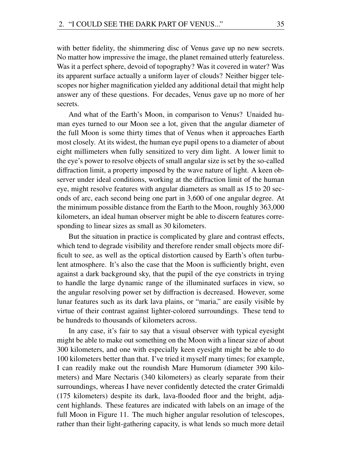with better fidelity, the shimmering disc of Venus gave up no new secrets. No matter how impressive the image, the planet remained utterly featureless. Was it a perfect sphere, devoid of topography? Was it covered in water? Was its apparent surface actually a uniform layer of clouds? Neither bigger telescopes nor higher magnification yielded any additional detail that might help answer any of these questions. For decades, Venus gave up no more of her secrets.

And what of the Earth's Moon, in comparison to Venus? Unaided human eyes turned to our Moon see a lot, given that the angular diameter of the full Moon is some thirty times that of Venus when it approaches Earth most closely. At its widest, the human eye pupil opens to a diameter of about eight millimeters when fully sensitized to very dim light. A lower limit to the eye's power to resolve objects of small angular size is set by the so-called diffraction limit, a property imposed by the wave nature of light. A keen observer under ideal conditions, working at the diffraction limit of the human eye, might resolve features with angular diameters as small as 15 to 20 seconds of arc, each second being one part in 3,600 of one angular degree. At the minimum possible distance from the Earth to the Moon, roughly 363,000 kilometers, an ideal human observer might be able to discern features corresponding to linear sizes as small as 30 kilometers.

But the situation in practice is complicated by glare and contrast effects, which tend to degrade visibility and therefore render small objects more difficult to see, as well as the optical distortion caused by Earth's often turbulent atmosphere. It's also the case that the Moon is sufficiently bright, even against a dark background sky, that the pupil of the eye constricts in trying to handle the large dynamic range of the illuminated surfaces in view, so the angular resolving power set by diffraction is decreased. However, some lunar features such as its dark lava plains, or "maria," are easily visible by virtue of their contrast against lighter-colored surroundings. These tend to be hundreds to thousands of kilometers across.

In any case, it's fair to say that a visual observer with typical eyesight might be able to make out something on the Moon with a linear size of about 300 kilometers, and one with especially keen eyesight might be able to do 100 kilometers better than that. I've tried it myself many times; for example, I can readily make out the roundish Mare Humorum (diameter 390 kilometers) and Mare Nectaris (340 kilometers) as clearly separate from their surroundings, whereas I have never confidently detected the crater Grimaldi (175 kilometers) despite its dark, lava-flooded floor and the bright, adjacent highlands. These features are indicated with labels on an image of the full Moon in Figure 11. The much higher angular resolution of telescopes, rather than their light-gathering capacity, is what lends so much more detail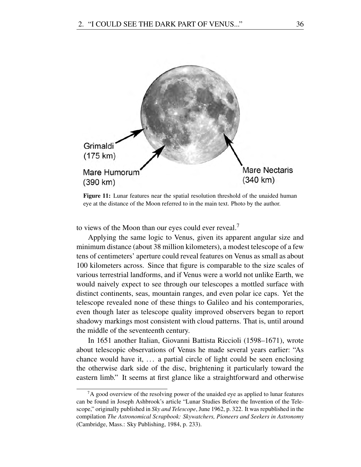

Figure 11: Lunar features near the spatial resolution threshold of the unaided human eye at the distance of the Moon referred to in the main text. Photo by the author.

to views of the Moon than our eyes could ever reveal.<sup>7</sup>

Applying the same logic to Venus, given its apparent angular size and minimum distance (about 38 million kilometers), a modest telescope of a few tens of centimeters' aperture could reveal features on Venus as small as about 100 kilometers across. Since that figure is comparable to the size scales of various terrestrial landforms, and if Venus were a world not unlike Earth, we would naively expect to see through our telescopes a mottled surface with distinct continents, seas, mountain ranges, and even polar ice caps. Yet the telescope revealed none of these things to Galileo and his contemporaries, even though later as telescope quality improved observers began to report shadowy markings most consistent with cloud patterns. That is, until around the middle of the seventeenth century.

In 1651 another Italian, Giovanni Battista Riccioli (1598–1671), wrote about telescopic observations of Venus he made several years earlier: "As chance would have it,  $\ldots$  a partial circle of light could be seen enclosing the otherwise dark side of the disc, brightening it particularly toward the eastern limb." It seems at first glance like a straightforward and otherwise

 ${}^{7}A$  good overview of the resolving power of the unaided eye as applied to lunar features can be found in Joseph Ashbrook's article "Lunar Studies Before the Invention of the Telescope," originally published in *Sky and Telescope*, June 1962, p. 322. It was republished in the compilation *The Astronomical Scrapbook: Skywatchers, Pioneers and Seekers in Astronomy* (Cambridge, Mass.: Sky Publishing, 1984, p. 233).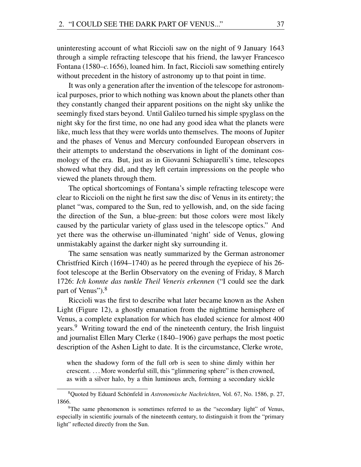uninteresting account of what Riccioli saw on the night of 9 January 1643 through a simple refracting telescope that his friend, the lawyer Francesco Fontana (1580–*c.*1656), loaned him. In fact, Riccioli saw something entirely without precedent in the history of astronomy up to that point in time.

It was only a generation after the invention of the telescope for astronomical purposes, prior to which nothing was known about the planets other than they constantly changed their apparent positions on the night sky unlike the seemingly fixed stars beyond. Until Galileo turned his simple spyglass on the night sky for the first time, no one had any good idea what the planets were like, much less that they were worlds unto themselves. The moons of Jupiter and the phases of Venus and Mercury confounded European observers in their attempts to understand the observations in light of the dominant cosmology of the era. But, just as in Giovanni Schiaparelli's time, telescopes showed what they did, and they left certain impressions on the people who viewed the planets through them.

The optical shortcomings of Fontana's simple refracting telescope were clear to Riccioli on the night he first saw the disc of Venus in its entirety; the planet "was, compared to the Sun, red to yellowish, and, on the side facing the direction of the Sun, a blue-green: but those colors were most likely caused by the particular variety of glass used in the telescope optics." And yet there was the otherwise un-illuminated 'night' side of Venus, glowing unmistakably against the darker night sky surrounding it.

The same sensation was neatly summarized by the German astronomer Christfried Kirch (1694–1740) as he peered through the eyepiece of his 26 foot telescope at the Berlin Observatory on the evening of Friday, 8 March 1726: *Ich konnte das tunkle Theil Veneris erkennen* ("I could see the dark part of Venus").<sup>8</sup>

Riccioli was the first to describe what later became known as the Ashen Light (Figure 12), a ghostly emanation from the nighttime hemisphere of Venus, a complete explanation for which has eluded science for almost 400 years.<sup>9</sup> Writing toward the end of the nineteenth century, the Irish linguist and journalist Ellen Mary Clerke (1840–1906) gave perhaps the most poetic description of the Ashen Light to date. It is the circumstance, Clerke wrote,

when the shadowy form of the full orb is seen to shine dimly within her crescent. . . . More wonderful still, this "glimmering sphere" is then crowned, as with a silver halo, by a thin luminous arch, forming a secondary sickle

<sup>&</sup>lt;sup>8</sup>Quoted by Eduard Schönfeld in *Astronomische Nachrichten*, Vol. 67, No. 1586, p. 27, 1866.

<sup>9</sup>The same phenomenon is sometimes referred to as the "secondary light" of Venus, especially in scientific journals of the nineteenth century, to distinguish it from the "primary light" reflected directly from the Sun.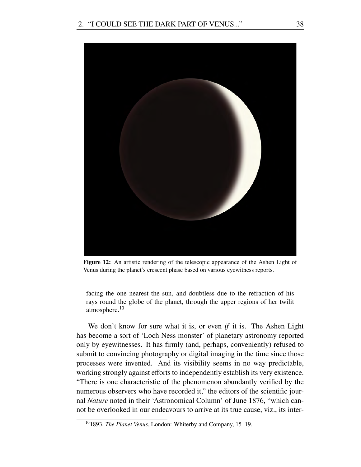

Figure 12: An artistic rendering of the telescopic appearance of the Ashen Light of Venus during the planet's crescent phase based on various eyewitness reports.

facing the one nearest the sun, and doubtless due to the refraction of his rays round the globe of the planet, through the upper regions of her twilit atmosphere.<sup>10</sup>

We don't know for sure what it is, or even *if* it is. The Ashen Light has become a sort of 'Loch Ness monster' of planetary astronomy reported only by eyewitnesses. It has firmly (and, perhaps, conveniently) refused to submit to convincing photography or digital imaging in the time since those processes were invented. And its visibility seems in no way predictable, working strongly against efforts to independently establish its very existence. "There is one characteristic of the phenomenon abundantly verified by the numerous observers who have recorded it," the editors of the scientific journal *Nature* noted in their 'Astronomical Column' of June 1876, "which cannot be overlooked in our endeavours to arrive at its true cause, viz., its inter-

<sup>101893,</sup> *The Planet Venus*, London: Whiterby and Company, 15–19.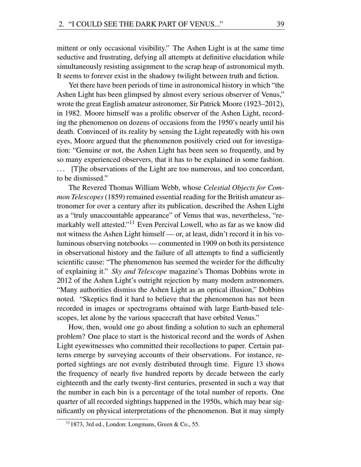mittent or only occasional visibility." The Ashen Light is at the same time seductive and frustrating, defying all attempts at definitive elucidation while simultaneously resisting assignment to the scrap heap of astronomical myth. It seems to forever exist in the shadowy twilight between truth and fiction.

Yet there have been periods of time in astronomical history in which "the Ashen Light has been glimpsed by almost every serious observer of Venus," wrote the great English amateur astronomer, Sir Patrick Moore (1923–2012), in 1982. Moore himself was a prolific observer of the Ashen Light, recording the phenomenon on dozens of occasions from the 1950's nearly until his death. Convinced of its reality by sensing the Light repeatedly with his own eyes, Moore argued that the phenomenon positively cried out for investigation: "Genuine or not, the Ashen Light has been seen so frequently, and by so many experienced observers, that it has to be explained in some fashion. ... [T]he observations of the Light are too numerous, and too concordant, to be dismissed."

The Revered Thomas William Webb, whose *Celestial Objects for Common Telescopes* (1859) remained essential reading for the British amateur astronomer for over a century after its publication, described the Ashen Light as a "truly unaccountable appearance" of Venus that was, nevertheless, "remarkably well attested."<sup>11</sup> Even Percival Lowell, who as far as we know did not witness the Ashen Light himself — or, at least, didn't record it in his voluminous observing notebooks — commented in 1909 on both its persistence in observational history and the failure of all attempts to find a sufficiently scientific cause: "The phenomenon has seemed the weirder for the difficulty of explaining it." *Sky and Telescope* magazine's Thomas Dobbins wrote in 2012 of the Ashen Light's outright rejection by many modern astronomers. "Many authorities dismiss the Ashen Light as an optical illusion," Dobbins noted. "Skeptics find it hard to believe that the phenomenon has not been recorded in images or spectrograms obtained with large Earth-based telescopes, let alone by the various spacecraft that have orbited Venus."

How, then, would one go about finding a solution to such an ephemeral problem? One place to start is the historical record and the words of Ashen Light eyewitnesses who committed their recollections to paper. Certain patterns emerge by surveying accounts of their observations. For instance, reported sightings are not evenly distributed through time. Figure 13 shows the frequency of nearly five hundred reports by decade between the early eighteenth and the early twenty-first centuries, presented in such a way that the number in each bin is a percentage of the total number of reports. One quarter of all recorded sightings happened in the 1950s, which may bear significantly on physical interpretations of the phenomenon. But it may simply

 $111873$ , 3rd ed., London: Longmans, Green & Co., 55.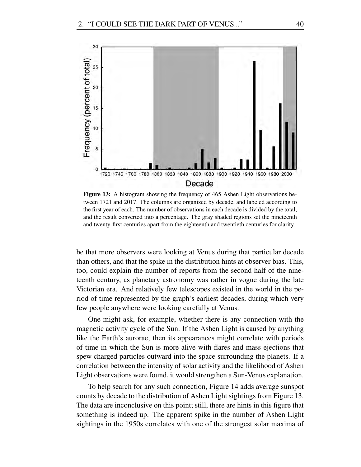

Figure 13: A histogram showing the frequency of 465 Ashen Light observations between 1721 and 2017. The columns are organized by decade, and labeled according to the first year of each. The number of observations in each decade is divided by the total, and the result converted into a percentage. The gray shaded regions set the nineteenth and twenty-first centuries apart from the eighteenth and twentieth centuries for clarity.

be that more observers were looking at Venus during that particular decade than others, and that the spike in the distribution hints at observer bias. This, too, could explain the number of reports from the second half of the nineteenth century, as planetary astronomy was rather in vogue during the late Victorian era. And relatively few telescopes existed in the world in the period of time represented by the graph's earliest decades, during which very few people anywhere were looking carefully at Venus.

One might ask, for example, whether there is any connection with the magnetic activity cycle of the Sun. If the Ashen Light is caused by anything like the Earth's aurorae, then its appearances might correlate with periods of time in which the Sun is more alive with flares and mass ejections that spew charged particles outward into the space surrounding the planets. If a correlation between the intensity of solar activity and the likelihood of Ashen Light observations were found, it would strengthen a Sun-Venus explanation.

To help search for any such connection, Figure 14 adds average sunspot counts by decade to the distribution of Ashen Light sightings from Figure 13. The data are inconclusive on this point; still, there are hints in this figure that something is indeed up. The apparent spike in the number of Ashen Light sightings in the 1950s correlates with one of the strongest solar maxima of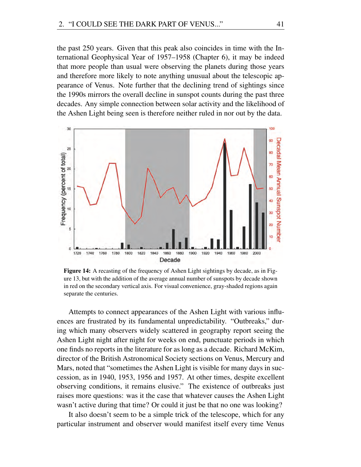the past 250 years. Given that this peak also coincides in time with the International Geophysical Year of 1957–1958 (Chapter 6), it may be indeed that more people than usual were observing the planets during those years and therefore more likely to note anything unusual about the telescopic appearance of Venus. Note further that the declining trend of sightings since the 1990s mirrors the overall decline in sunspot counts during the past three decades. Any simple connection between solar activity and the likelihood of the Ashen Light being seen is therefore neither ruled in nor out by the data.



Figure 14: A recasting of the frequency of Ashen Light sightings by decade, as in Figure 13, but with the addition of the average annual number of sunspots by decade shown in red on the secondary vertical axis. For visual convenience, gray-shaded regions again separate the centuries.

Attempts to connect appearances of the Ashen Light with various influences are frustrated by its fundamental unpredictability. "Outbreaks," during which many observers widely scattered in geography report seeing the Ashen Light night after night for weeks on end, punctuate periods in which one finds no reports in the literature for as long as a decade. Richard McKim, director of the British Astronomical Society sections on Venus, Mercury and Mars, noted that "sometimes the Ashen Light is visible for many days in succession, as in 1940, 1953, 1956 and 1957. At other times, despite excellent observing conditions, it remains elusive." The existence of outbreaks just raises more questions: was it the case that whatever causes the Ashen Light wasn't active during that time? Or could it just be that no one was looking?

It also doesn't seem to be a simple trick of the telescope, which for any particular instrument and observer would manifest itself every time Venus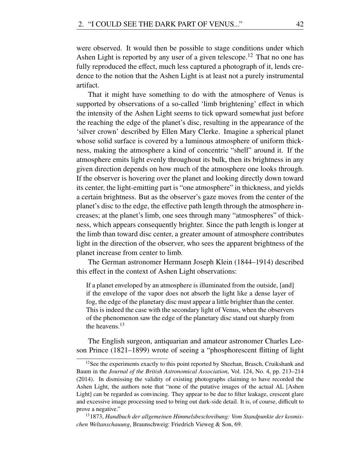were observed. It would then be possible to stage conditions under which Ashen Light is reported by any user of a given telescope.<sup>12</sup> That no one has fully reproduced the effect, much less captured a photograph of it, lends credence to the notion that the Ashen Light is at least not a purely instrumental artifact.

That it might have something to do with the atmosphere of Venus is supported by observations of a so-called 'limb brightening' effect in which the intensity of the Ashen Light seems to tick upward somewhat just before the reaching the edge of the planet's disc, resulting in the appearance of the 'silver crown' described by Ellen Mary Clerke. Imagine a spherical planet whose solid surface is covered by a luminous atmosphere of uniform thickness, making the atmosphere a kind of concentric "shell" around it. If the atmosphere emits light evenly throughout its bulk, then its brightness in any given direction depends on how much of the atmosphere one looks through. If the observer is hovering over the planet and looking directly down toward its center, the light-emitting part is "one atmosphere" in thickness, and yields a certain brightness. But as the observer's gaze moves from the center of the planet's disc to the edge, the effective path length through the atmosphere increases; at the planet's limb, one sees through many "atmospheres" of thickness, which appears consequently brighter. Since the path length is longer at the limb than toward disc center, a greater amount of atmosphere contributes light in the direction of the observer, who sees the apparent brightness of the planet increase from center to limb.

The German astronomer Hermann Joseph Klein (1844–1914) described this effect in the context of Ashen Light observations:

If a planet enveloped by an atmosphere is illuminated from the outside, [and] if the envelope of the vapor does not absorb the light like a dense layer of fog, the edge of the planetary disc must appear a little brighter than the center. This is indeed the case with the secondary light of Venus, when the observers of the phenomenon saw the edge of the planetary disc stand out sharply from the heavens.<sup>13</sup>

The English surgeon, antiquarian and amateur astronomer Charles Leeson Prince (1821–1899) wrote of seeing a "phosphorescent flitting of light

<sup>&</sup>lt;sup>12</sup>See the experiments exactly to this point reported by Sheehan, Brasch, Cruikshank and Baum in the *Journal of the British Astronomical Association*, Vol. 124, No. 4, pp. 213–214 (2014). In dismissing the validity of existing photographs claiming to have recorded the Ashen Light, the authors note that "none of the putative images of the actual AL [Ashen Light] can be regarded as convincing. They appear to be due to filter leakage, crescent glare and excessive image processing used to bring out dark-side detail. It is, of course, difficult to prove a negative."

<sup>131873,</sup> *Handbuch der allgemeinen Himmelsbeschreibung: Vom Standpunkte der kosmischen Weltanschauung*, Braunschweig: Friedrich Vieweg & Son, 69.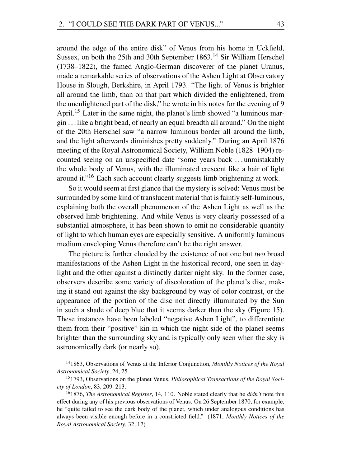around the edge of the entire disk" of Venus from his home in Uckfield, Sussex, on both the 25th and 30th September 1863.<sup>14</sup> Sir William Herschel (1738–1822), the famed Anglo-German discoverer of the planet Uranus, made a remarkable series of observations of the Ashen Light at Observatory House in Slough, Berkshire, in April 1793. "The light of Venus is brighter all around the limb, than on that part which divided the enlightened, from the unenlightened part of the disk," he wrote in his notes for the evening of 9 April.<sup>15</sup> Later in the same night, the planet's limb showed "a luminous margin . . . like a bright bead, of nearly an equal breadth all around." On the night of the 20th Herschel saw "a narrow luminous border all around the limb, and the light afterwards diminishes pretty suddenly." During an April 1876 meeting of the Royal Astronomical Society, William Noble (1828–1904) recounted seeing on an unspecified date "some years back . . . unmistakably the whole body of Venus, with the illuminated crescent like a hair of light around it."<sup>16</sup> Each such account clearly suggests limb brightening at work.

So it would seem at first glance that the mystery is solved: Venus must be surrounded by some kind of translucent material that is faintly self-luminous, explaining both the overall phenomenon of the Ashen Light as well as the observed limb brightening. And while Venus is very clearly possessed of a substantial atmosphere, it has been shown to emit no considerable quantity of light to which human eyes are especially sensitive. A uniformly luminous medium enveloping Venus therefore can't be the right answer.

The picture is further clouded by the existence of not one but *two* broad manifestations of the Ashen Light in the historical record, one seen in daylight and the other against a distinctly darker night sky. In the former case, observers describe some variety of discoloration of the planet's disc, making it stand out against the sky background by way of color contrast, or the appearance of the portion of the disc not directly illuminated by the Sun in such a shade of deep blue that it seems darker than the sky (Figure 15). These instances have been labeled "negative Ashen Light", to differentiate them from their "positive" kin in which the night side of the planet seems brighter than the surrounding sky and is typically only seen when the sky is astronomically dark (or nearly so).

<sup>141863,</sup> Observations of Venus at the Inferior Conjunction, *Monthly Notices of the Royal Astronomical Society*, 24, 25.

<sup>151793,</sup> Observations on the planet Venus, *Philosophical Transactions of the Royal Society of London*, 83, 209–213.

<sup>161876,</sup> *The Astronomical Register*, 14, 110. Noble stated clearly that he *didn't* note this effect during any of his previous observations of Venus. On 26 September 1870, for example, he "quite failed to see the dark body of the planet, which under analogous conditions has always been visible enough before in a constricted field." (1871, *Monthly Notices of the Royal Astronomical Society*, 32, 17)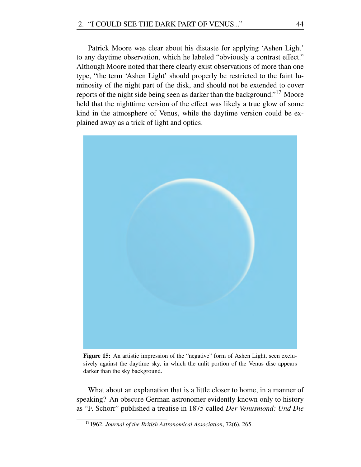Patrick Moore was clear about his distaste for applying 'Ashen Light' to any daytime observation, which he labeled "obviously a contrast effect." Although Moore noted that there clearly exist observations of more than one type, "the term 'Ashen Light' should properly be restricted to the faint luminosity of the night part of the disk, and should not be extended to cover reports of the night side being seen as darker than the background."<sup>17</sup> Moore held that the nighttime version of the effect was likely a true glow of some kind in the atmosphere of Venus, while the daytime version could be explained away as a trick of light and optics.



Figure 15: An artistic impression of the "negative" form of Ashen Light, seen exclusively against the daytime sky, in which the unlit portion of the Venus disc appears darker than the sky background.

What about an explanation that is a little closer to home, in a manner of speaking? An obscure German astronomer evidently known only to history as "F. Schorr" published a treatise in 1875 called *Der Venusmond: Und Die*

<sup>171962,</sup> *Journal of the British Astronomical Association*, 72(6), 265.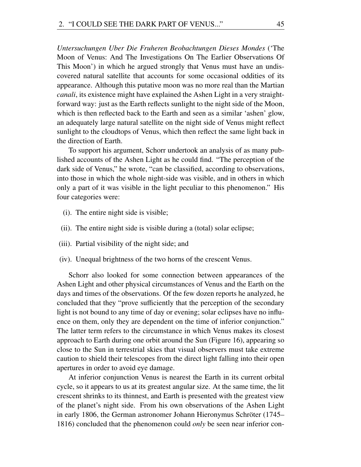*Untersuchungen Uber Die Fruheren Beobachtungen Dieses Mondes* ('The Moon of Venus: And The Investigations On The Earlier Observations Of This Moon') in which he argued strongly that Venus must have an undiscovered natural satellite that accounts for some occasional oddities of its appearance. Although this putative moon was no more real than the Martian *canali*, its existence might have explained the Ashen Light in a very straightforward way: just as the Earth reflects sunlight to the night side of the Moon, which is then reflected back to the Earth and seen as a similar 'ashen' glow, an adequately large natural satellite on the night side of Venus might reflect sunlight to the cloudtops of Venus, which then reflect the same light back in the direction of Earth.

To support his argument, Schorr undertook an analysis of as many published accounts of the Ashen Light as he could find. "The perception of the dark side of Venus," he wrote, "can be classified, according to observations, into those in which the whole night-side was visible, and in others in which only a part of it was visible in the light peculiar to this phenomenon." His four categories were:

- (i). The entire night side is visible;
- (ii). The entire night side is visible during a (total) solar eclipse;
- (iii). Partial visibility of the night side; and
- (iv). Unequal brightness of the two horns of the crescent Venus.

Schorr also looked for some connection between appearances of the Ashen Light and other physical circumstances of Venus and the Earth on the days and times of the observations. Of the few dozen reports he analyzed, he concluded that they "prove sufficiently that the perception of the secondary light is not bound to any time of day or evening; solar eclipses have no influence on them, only they are dependent on the time of inferior conjunction." The latter term refers to the circumstance in which Venus makes its closest approach to Earth during one orbit around the Sun (Figure 16), appearing so close to the Sun in terrestrial skies that visual observers must take extreme caution to shield their telescopes from the direct light falling into their open apertures in order to avoid eye damage.

At inferior conjunction Venus is nearest the Earth in its current orbital cycle, so it appears to us at its greatest angular size. At the same time, the lit crescent shrinks to its thinnest, and Earth is presented with the greatest view of the planet's night side. From his own observations of the Ashen Light in early 1806, the German astronomer Johann Hieronymus Schröter (1745– 1816) concluded that the phenomenon could *only* be seen near inferior con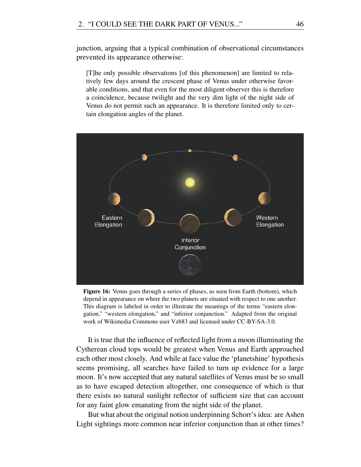junction, arguing that a typical combination of observational circumstances prevented its appearance otherwise:

[T]he only possible observations [of this phenomenon] are limited to relatively few days around the crescent phase of Venus under otherwise favorable conditions, and that even for the most diligent observer this is therefore a coincidence, because twilight and the very dim light of the night side of Venus do not permit such an appearance. It is therefore limited only to certain elongation angles of the planet.



Figure 16: Venus goes through a series of phases, as seen from Earth (bottom), which depend in appearance on where the two planets are situated with respect to one another. This diagram is labeled in order to illustrate the meanings of the terms "eastern elongation," "western elongation," and "inferior conjunction." Adapted from the original work of Wikimedia Commons user Vzb83 and licensed under CC-BY-SA-3.0.

It is true that the influence of reflected light from a moon illuminating the Cytherean cloud tops would be greatest when Venus and Earth approached each other most closely. And while at face value the 'planetshine' hypothesis seems promising, all searches have failed to turn up evidence for a large moon. It's now accepted that any natural satellites of Venus must be so small as to have escaped detection altogether, one consequence of which is that there exists no natural sunlight reflector of sufficient size that can account for any faint glow emanating from the night side of the planet.

But what about the original notion underpinning Schorr's idea: are Ashen Light sightings more common near inferior conjunction than at other times?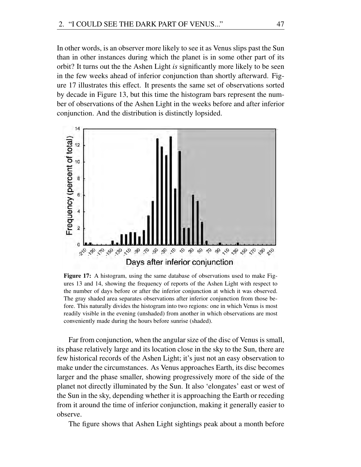In other words, is an observer more likely to see it as Venus slips past the Sun than in other instances during which the planet is in some other part of its orbit? It turns out the the Ashen Light *is* significantly more likely to be seen in the few weeks ahead of inferior conjunction than shortly afterward. Figure 17 illustrates this effect. It presents the same set of observations sorted by decade in Figure 13, but this time the histogram bars represent the number of observations of the Ashen Light in the weeks before and after inferior conjunction. And the distribution is distinctly lopsided.



Figure 17: A histogram, using the same database of observations used to make Figures 13 and 14, showing the frequency of reports of the Ashen Light with respect to the number of days before or after the inferior conjunction at which it was observed. The gray shaded area separates observations after inferior conjunction from those before. This naturally divides the histogram into two regions: one in which Venus is most readily visible in the evening (unshaded) from another in which observations are most conveniently made during the hours before sunrise (shaded).

Far from conjunction, when the angular size of the disc of Venus is small, its phase relatively large and its location close in the sky to the Sun, there are few historical records of the Ashen Light; it's just not an easy observation to make under the circumstances. As Venus approaches Earth, its disc becomes larger and the phase smaller, showing progressively more of the side of the planet not directly illuminated by the Sun. It also 'elongates' east or west of the Sun in the sky, depending whether it is approaching the Earth or receding from it around the time of inferior conjunction, making it generally easier to observe.

The figure shows that Ashen Light sightings peak about a month before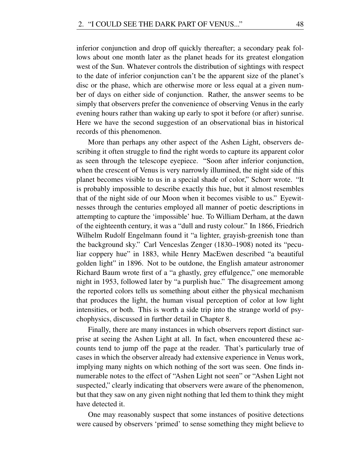inferior conjunction and drop off quickly thereafter; a secondary peak follows about one month later as the planet heads for its greatest elongation west of the Sun. Whatever controls the distribution of sightings with respect to the date of inferior conjunction can't be the apparent size of the planet's disc or the phase, which are otherwise more or less equal at a given number of days on either side of conjunction. Rather, the answer seems to be simply that observers prefer the convenience of observing Venus in the early evening hours rather than waking up early to spot it before (or after) sunrise. Here we have the second suggestion of an observational bias in historical records of this phenomenon.

More than perhaps any other aspect of the Ashen Light, observers describing it often struggle to find the right words to capture its apparent color as seen through the telescope eyepiece. "Soon after inferior conjunction, when the crescent of Venus is very narrowly illumined, the night side of this planet becomes visible to us in a special shade of color," Schorr wrote. "It is probably impossible to describe exactly this hue, but it almost resembles that of the night side of our Moon when it becomes visible to us." Eyewitnesses through the centuries employed all manner of poetic descriptions in attempting to capture the 'impossible' hue. To William Derham, at the dawn of the eighteenth century, it was a "dull and rusty colour." In 1866, Friedrich Wilhelm Rudolf Engelmann found it "a lighter, grayish-greenish tone than the background sky." Carl Venceslas Zenger (1830–1908) noted its "peculiar coppery hue" in 1883, while Henry MacEwen described "a beautiful golden light" in 1896. Not to be outdone, the English amateur astronomer Richard Baum wrote first of a "a ghastly, grey effulgence," one memorable night in 1953, followed later by "a purplish hue." The disagreement among the reported colors tells us something about either the physical mechanism that produces the light, the human visual perception of color at low light intensities, or both. This is worth a side trip into the strange world of psychophysics, discussed in further detail in Chapter 8.

Finally, there are many instances in which observers report distinct surprise at seeing the Ashen Light at all. In fact, when encountered these accounts tend to jump off the page at the reader. That's particularly true of cases in which the observer already had extensive experience in Venus work, implying many nights on which nothing of the sort was seen. One finds innumerable notes to the effect of "Ashen Light not seen" or "Ashen Light not suspected," clearly indicating that observers were aware of the phenomenon, but that they saw on any given night nothing that led them to think they might have detected it.

One may reasonably suspect that some instances of positive detections were caused by observers 'primed' to sense something they might believe to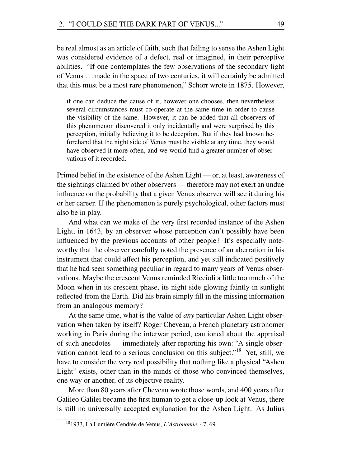be real almost as an article of faith, such that failing to sense the Ashen Light was considered evidence of a defect, real or imagined, in their perceptive abilities. "If one contemplates the few observations of the secondary light of Venus . . . made in the space of two centuries, it will certainly be admitted that this must be a most rare phenomenon," Schorr wrote in 1875. However,

if one can deduce the cause of it, however one chooses, then nevertheless several circumstances must co-operate at the same time in order to cause the visibility of the same. However, it can be added that all observers of this phenomenon discovered it only incidentally and were surprised by this perception, initially believing it to be deception. But if they had known beforehand that the night side of Venus must be visible at any time, they would have observed it more often, and we would find a greater number of observations of it recorded.

Primed belief in the existence of the Ashen Light — or, at least, awareness of the sightings claimed by other observers — therefore may not exert an undue influence on the probability that a given Venus observer will see it during his or her career. If the phenomenon is purely psychological, other factors must also be in play.

And what can we make of the very first recorded instance of the Ashen Light, in 1643, by an observer whose perception can't possibly have been influenced by the previous accounts of other people? It's especially noteworthy that the observer carefully noted the presence of an aberration in his instrument that could affect his perception, and yet still indicated positively that he had seen something peculiar in regard to many years of Venus observations. Maybe the crescent Venus reminded Riccioli a little too much of the Moon when in its crescent phase, its night side glowing faintly in sunlight reflected from the Earth. Did his brain simply fill in the missing information from an analogous memory?

At the same time, what is the value of *any* particular Ashen Light observation when taken by itself? Roger Cheveau, a French planetary astronomer working in Paris during the interwar period, cautioned about the appraisal of such anecdotes — immediately after reporting his own: "A single observation cannot lead to a serious conclusion on this subject."18 Yet, still, we have to consider the very real possibility that nothing like a physical "Ashen Light" exists, other than in the minds of those who convinced themselves, one way or another, of its objective reality.

More than 80 years after Cheveau wrote those words, and 400 years after Galileo Galilei became the first human to get a close-up look at Venus, there is still no universally accepted explanation for the Ashen Light. As Julius

<sup>&</sup>lt;sup>18</sup>1933, La Lumière Cendrée de Venus, *L'Astronomie*, 47, 69.